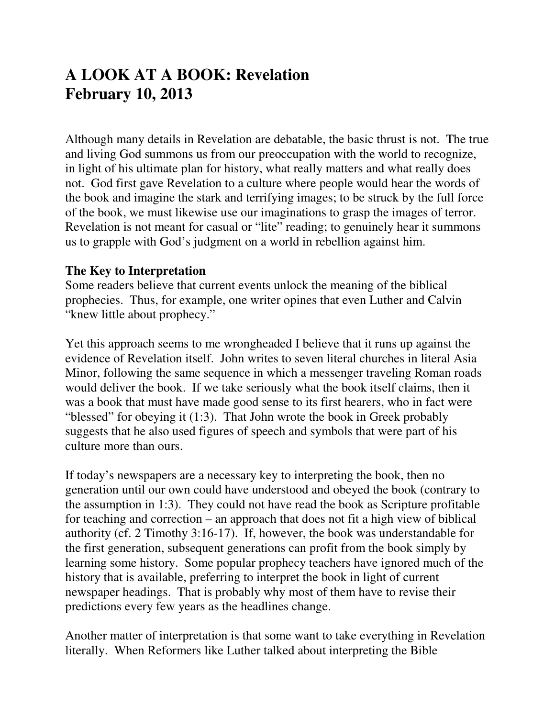# **A LOOK AT A BOOK: Revelation February 10, 2013**

Although many details in Revelation are debatable, the basic thrust is not. The true and living God summons us from our preoccupation with the world to recognize, in light of his ultimate plan for history, what really matters and what really does not. God first gave Revelation to a culture where people would hear the words of the book and imagine the stark and terrifying images; to be struck by the full force of the book, we must likewise use our imaginations to grasp the images of terror. Revelation is not meant for casual or "lite" reading; to genuinely hear it summons us to grapple with God's judgment on a world in rebellion against him.

#### **The Key to Interpretation**

Some readers believe that current events unlock the meaning of the biblical prophecies. Thus, for example, one writer opines that even Luther and Calvin "knew little about prophecy."

Yet this approach seems to me wrongheaded I believe that it runs up against the evidence of Revelation itself. John writes to seven literal churches in literal Asia Minor, following the same sequence in which a messenger traveling Roman roads would deliver the book. If we take seriously what the book itself claims, then it was a book that must have made good sense to its first hearers, who in fact were "blessed" for obeying it (1:3). That John wrote the book in Greek probably suggests that he also used figures of speech and symbols that were part of his culture more than ours.

If today's newspapers are a necessary key to interpreting the book, then no generation until our own could have understood and obeyed the book (contrary to the assumption in 1:3). They could not have read the book as Scripture profitable for teaching and correction – an approach that does not fit a high view of biblical authority (cf. 2 Timothy 3:16-17). If, however, the book was understandable for the first generation, subsequent generations can profit from the book simply by learning some history. Some popular prophecy teachers have ignored much of the history that is available, preferring to interpret the book in light of current newspaper headings. That is probably why most of them have to revise their predictions every few years as the headlines change.

Another matter of interpretation is that some want to take everything in Revelation literally. When Reformers like Luther talked about interpreting the Bible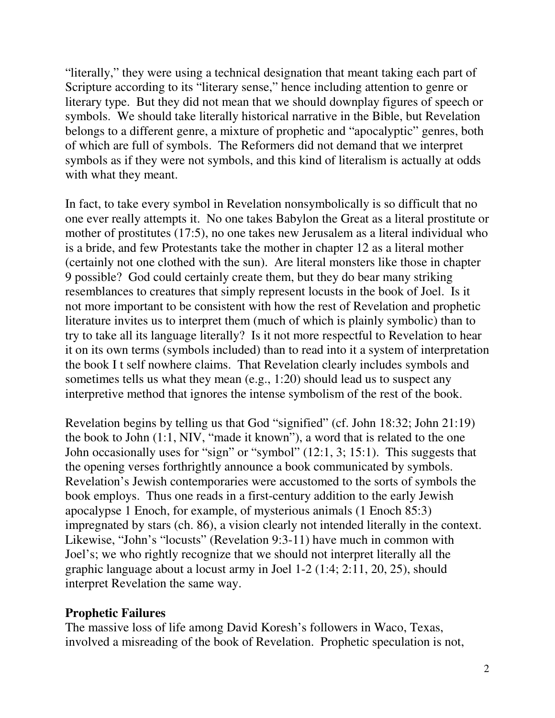"literally," they were using a technical designation that meant taking each part of Scripture according to its "literary sense," hence including attention to genre or literary type. But they did not mean that we should downplay figures of speech or symbols. We should take literally historical narrative in the Bible, but Revelation belongs to a different genre, a mixture of prophetic and "apocalyptic" genres, both of which are full of symbols. The Reformers did not demand that we interpret symbols as if they were not symbols, and this kind of literalism is actually at odds with what they meant.

In fact, to take every symbol in Revelation nonsymbolically is so difficult that no one ever really attempts it. No one takes Babylon the Great as a literal prostitute or mother of prostitutes (17:5), no one takes new Jerusalem as a literal individual who is a bride, and few Protestants take the mother in chapter 12 as a literal mother (certainly not one clothed with the sun). Are literal monsters like those in chapter 9 possible? God could certainly create them, but they do bear many striking resemblances to creatures that simply represent locusts in the book of Joel. Is it not more important to be consistent with how the rest of Revelation and prophetic literature invites us to interpret them (much of which is plainly symbolic) than to try to take all its language literally? Is it not more respectful to Revelation to hear it on its own terms (symbols included) than to read into it a system of interpretation the book I t self nowhere claims. That Revelation clearly includes symbols and sometimes tells us what they mean (e.g., 1:20) should lead us to suspect any interpretive method that ignores the intense symbolism of the rest of the book.

Revelation begins by telling us that God "signified" (cf. John 18:32; John 21:19) the book to John (1:1, NIV, "made it known"), a word that is related to the one John occasionally uses for "sign" or "symbol" (12:1, 3; 15:1). This suggests that the opening verses forthrightly announce a book communicated by symbols. Revelation's Jewish contemporaries were accustomed to the sorts of symbols the book employs. Thus one reads in a first-century addition to the early Jewish apocalypse 1 Enoch, for example, of mysterious animals (1 Enoch 85:3) impregnated by stars (ch. 86), a vision clearly not intended literally in the context. Likewise, "John's "locusts" (Revelation 9:3-11) have much in common with Joel's; we who rightly recognize that we should not interpret literally all the graphic language about a locust army in Joel 1-2 (1:4; 2:11, 20, 25), should interpret Revelation the same way.

#### **Prophetic Failures**

The massive loss of life among David Koresh's followers in Waco, Texas, involved a misreading of the book of Revelation. Prophetic speculation is not,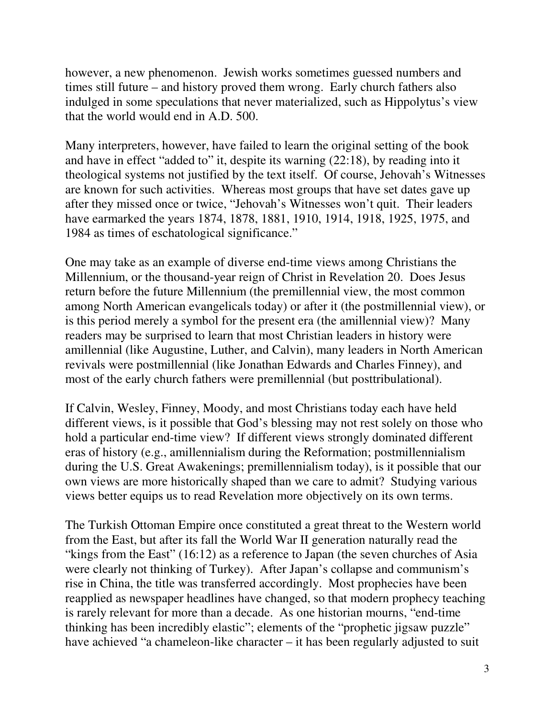however, a new phenomenon. Jewish works sometimes guessed numbers and times still future – and history proved them wrong. Early church fathers also indulged in some speculations that never materialized, such as Hippolytus's view that the world would end in A.D. 500.

Many interpreters, however, have failed to learn the original setting of the book and have in effect "added to" it, despite its warning (22:18), by reading into it theological systems not justified by the text itself. Of course, Jehovah's Witnesses are known for such activities. Whereas most groups that have set dates gave up after they missed once or twice, "Jehovah's Witnesses won't quit. Their leaders have earmarked the years 1874, 1878, 1881, 1910, 1914, 1918, 1925, 1975, and 1984 as times of eschatological significance."

One may take as an example of diverse end-time views among Christians the Millennium, or the thousand-year reign of Christ in Revelation 20. Does Jesus return before the future Millennium (the premillennial view, the most common among North American evangelicals today) or after it (the postmillennial view), or is this period merely a symbol for the present era (the amillennial view)? Many readers may be surprised to learn that most Christian leaders in history were amillennial (like Augustine, Luther, and Calvin), many leaders in North American revivals were postmillennial (like Jonathan Edwards and Charles Finney), and most of the early church fathers were premillennial (but posttribulational).

If Calvin, Wesley, Finney, Moody, and most Christians today each have held different views, is it possible that God's blessing may not rest solely on those who hold a particular end-time view? If different views strongly dominated different eras of history (e.g., amillennialism during the Reformation; postmillennialism during the U.S. Great Awakenings; premillennialism today), is it possible that our own views are more historically shaped than we care to admit? Studying various views better equips us to read Revelation more objectively on its own terms.

The Turkish Ottoman Empire once constituted a great threat to the Western world from the East, but after its fall the World War II generation naturally read the "kings from the East" (16:12) as a reference to Japan (the seven churches of Asia were clearly not thinking of Turkey). After Japan's collapse and communism's rise in China, the title was transferred accordingly. Most prophecies have been reapplied as newspaper headlines have changed, so that modern prophecy teaching is rarely relevant for more than a decade. As one historian mourns, "end-time thinking has been incredibly elastic"; elements of the "prophetic jigsaw puzzle" have achieved "a chameleon-like character – it has been regularly adjusted to suit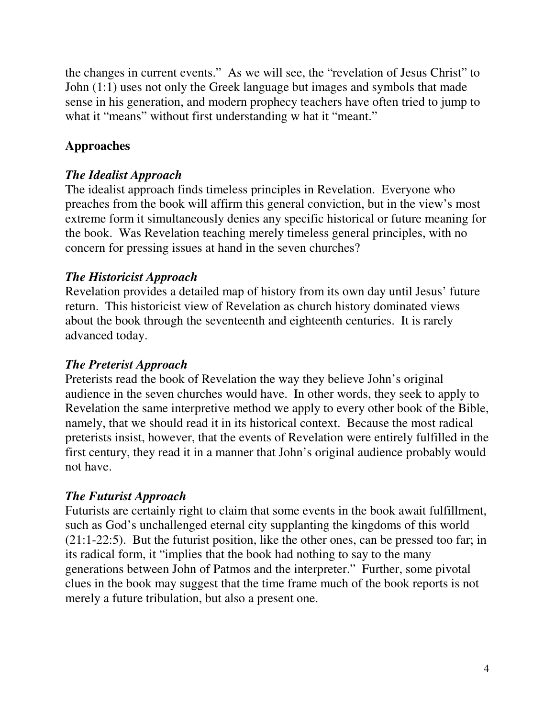the changes in current events." As we will see, the "revelation of Jesus Christ" to John (1:1) uses not only the Greek language but images and symbols that made sense in his generation, and modern prophecy teachers have often tried to jump to what it "means" without first understanding w hat it "meant."

# **Approaches**

# *The Idealist Approach*

The idealist approach finds timeless principles in Revelation. Everyone who preaches from the book will affirm this general conviction, but in the view's most extreme form it simultaneously denies any specific historical or future meaning for the book. Was Revelation teaching merely timeless general principles, with no concern for pressing issues at hand in the seven churches?

# *The Historicist Approach*

Revelation provides a detailed map of history from its own day until Jesus' future return. This historicist view of Revelation as church history dominated views about the book through the seventeenth and eighteenth centuries. It is rarely advanced today.

#### *The Preterist Approach*

Preterists read the book of Revelation the way they believe John's original audience in the seven churches would have. In other words, they seek to apply to Revelation the same interpretive method we apply to every other book of the Bible, namely, that we should read it in its historical context. Because the most radical preterists insist, however, that the events of Revelation were entirely fulfilled in the first century, they read it in a manner that John's original audience probably would not have.

#### *The Futurist Approach*

Futurists are certainly right to claim that some events in the book await fulfillment, such as God's unchallenged eternal city supplanting the kingdoms of this world (21:1-22:5). But the futurist position, like the other ones, can be pressed too far; in its radical form, it "implies that the book had nothing to say to the many generations between John of Patmos and the interpreter." Further, some pivotal clues in the book may suggest that the time frame much of the book reports is not merely a future tribulation, but also a present one.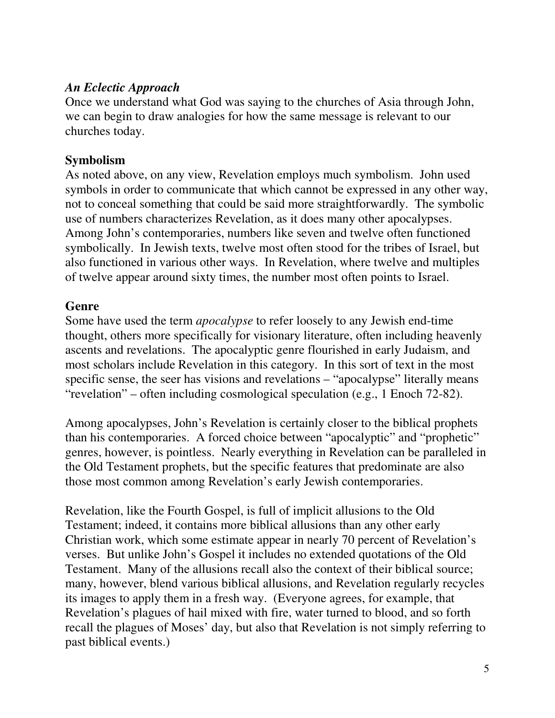#### *An Eclectic Approach*

Once we understand what God was saying to the churches of Asia through John, we can begin to draw analogies for how the same message is relevant to our churches today.

#### **Symbolism**

As noted above, on any view, Revelation employs much symbolism. John used symbols in order to communicate that which cannot be expressed in any other way, not to conceal something that could be said more straightforwardly. The symbolic use of numbers characterizes Revelation, as it does many other apocalypses. Among John's contemporaries, numbers like seven and twelve often functioned symbolically. In Jewish texts, twelve most often stood for the tribes of Israel, but also functioned in various other ways. In Revelation, where twelve and multiples of twelve appear around sixty times, the number most often points to Israel.

#### **Genre**

Some have used the term *apocalypse* to refer loosely to any Jewish end-time thought, others more specifically for visionary literature, often including heavenly ascents and revelations. The apocalyptic genre flourished in early Judaism, and most scholars include Revelation in this category. In this sort of text in the most specific sense, the seer has visions and revelations – "apocalypse" literally means "revelation" – often including cosmological speculation (e.g., 1 Enoch 72-82).

Among apocalypses, John's Revelation is certainly closer to the biblical prophets than his contemporaries. A forced choice between "apocalyptic" and "prophetic" genres, however, is pointless. Nearly everything in Revelation can be paralleled in the Old Testament prophets, but the specific features that predominate are also those most common among Revelation's early Jewish contemporaries.

Revelation, like the Fourth Gospel, is full of implicit allusions to the Old Testament; indeed, it contains more biblical allusions than any other early Christian work, which some estimate appear in nearly 70 percent of Revelation's verses. But unlike John's Gospel it includes no extended quotations of the Old Testament. Many of the allusions recall also the context of their biblical source; many, however, blend various biblical allusions, and Revelation regularly recycles its images to apply them in a fresh way. (Everyone agrees, for example, that Revelation's plagues of hail mixed with fire, water turned to blood, and so forth recall the plagues of Moses' day, but also that Revelation is not simply referring to past biblical events.)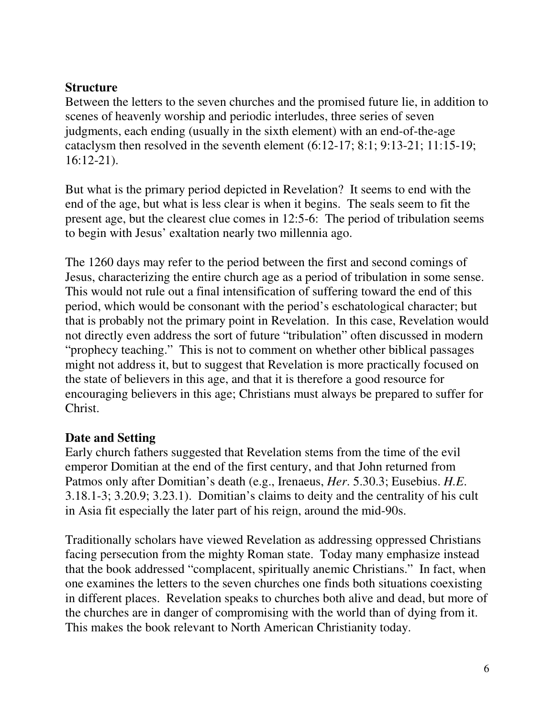#### **Structure**

Between the letters to the seven churches and the promised future lie, in addition to scenes of heavenly worship and periodic interludes, three series of seven judgments, each ending (usually in the sixth element) with an end-of-the-age cataclysm then resolved in the seventh element  $(6:12-17; 8:1; 9:13-21; 11:15-19;$ 16:12-21).

But what is the primary period depicted in Revelation? It seems to end with the end of the age, but what is less clear is when it begins. The seals seem to fit the present age, but the clearest clue comes in 12:5-6: The period of tribulation seems to begin with Jesus' exaltation nearly two millennia ago.

The 1260 days may refer to the period between the first and second comings of Jesus, characterizing the entire church age as a period of tribulation in some sense. This would not rule out a final intensification of suffering toward the end of this period, which would be consonant with the period's eschatological character; but that is probably not the primary point in Revelation. In this case, Revelation would not directly even address the sort of future "tribulation" often discussed in modern "prophecy teaching." This is not to comment on whether other biblical passages might not address it, but to suggest that Revelation is more practically focused on the state of believers in this age, and that it is therefore a good resource for encouraging believers in this age; Christians must always be prepared to suffer for Christ.

#### **Date and Setting**

Early church fathers suggested that Revelation stems from the time of the evil emperor Domitian at the end of the first century, and that John returned from Patmos only after Domitian's death (e.g., Irenaeus, *Her*. 5.30.3; Eusebius. *H.E*. 3.18.1-3; 3.20.9; 3.23.1). Domitian's claims to deity and the centrality of his cult in Asia fit especially the later part of his reign, around the mid-90s.

Traditionally scholars have viewed Revelation as addressing oppressed Christians facing persecution from the mighty Roman state. Today many emphasize instead that the book addressed "complacent, spiritually anemic Christians." In fact, when one examines the letters to the seven churches one finds both situations coexisting in different places. Revelation speaks to churches both alive and dead, but more of the churches are in danger of compromising with the world than of dying from it. This makes the book relevant to North American Christianity today.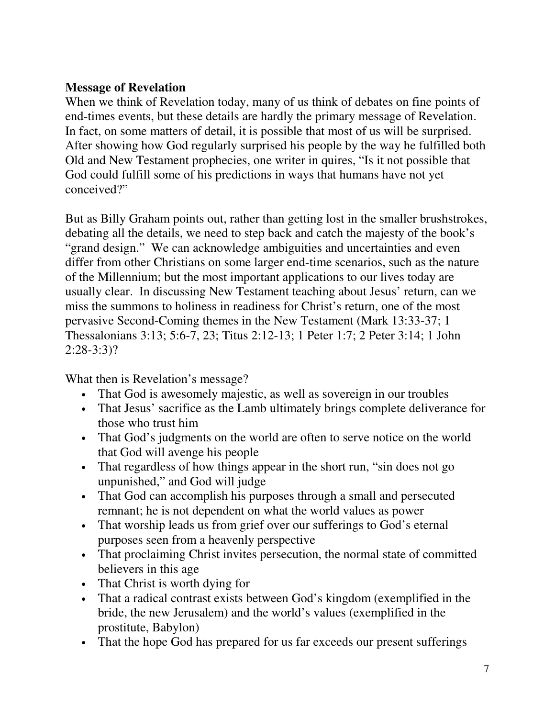### **Message of Revelation**

When we think of Revelation today, many of us think of debates on fine points of end-times events, but these details are hardly the primary message of Revelation. In fact, on some matters of detail, it is possible that most of us will be surprised. After showing how God regularly surprised his people by the way he fulfilled both Old and New Testament prophecies, one writer in quires, "Is it not possible that God could fulfill some of his predictions in ways that humans have not yet conceived?"

But as Billy Graham points out, rather than getting lost in the smaller brushstrokes, debating all the details, we need to step back and catch the majesty of the book's "grand design." We can acknowledge ambiguities and uncertainties and even differ from other Christians on some larger end-time scenarios, such as the nature of the Millennium; but the most important applications to our lives today are usually clear. In discussing New Testament teaching about Jesus' return, can we miss the summons to holiness in readiness for Christ's return, one of the most pervasive Second-Coming themes in the New Testament (Mark 13:33-37; 1 Thessalonians 3:13; 5:6-7, 23; Titus 2:12-13; 1 Peter 1:7; 2 Peter 3:14; 1 John 2:28-3:3)?

What then is Revelation's message?

- That God is awesomely majestic, as well as sovereign in our troubles
- That Jesus' sacrifice as the Lamb ultimately brings complete deliverance for those who trust him
- That God's judgments on the world are often to serve notice on the world that God will avenge his people
- That regardless of how things appear in the short run, "sin does not go unpunished," and God will judge
- That God can accomplish his purposes through a small and persecuted remnant; he is not dependent on what the world values as power
- That worship leads us from grief over our sufferings to God's eternal purposes seen from a heavenly perspective
- That proclaiming Christ invites persecution, the normal state of committed believers in this age
- That Christ is worth dying for
- That a radical contrast exists between God's kingdom (exemplified in the bride, the new Jerusalem) and the world's values (exemplified in the prostitute, Babylon)
- That the hope God has prepared for us far exceeds our present sufferings